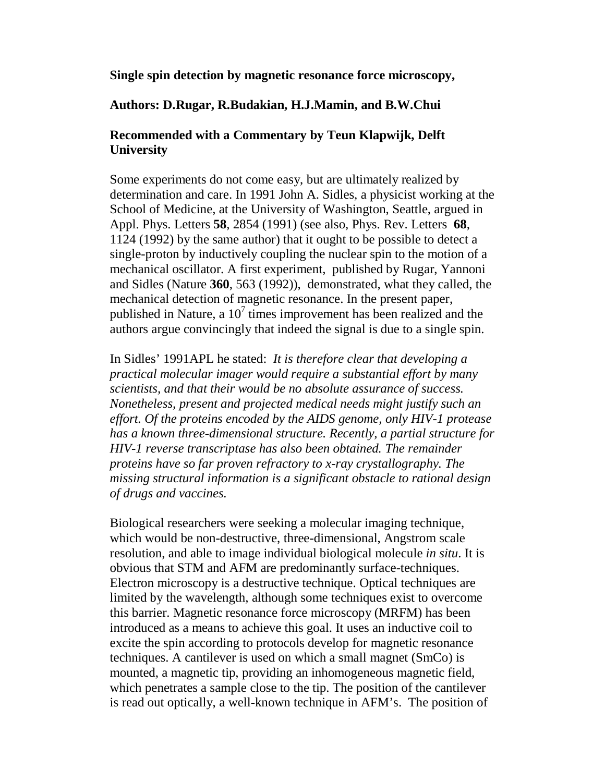## **Single spin detection by magnetic resonance force microscopy,**

## **Authors: D.Rugar, R.Budakian, H.J.Mamin, and B.W.Chui**

## **Recommended with a Commentary by Teun Klapwijk, Delft University**

Some experiments do not come easy, but are ultimately realized by determination and care. In 1991 John A. Sidles, a physicist working at the School of Medicine, at the University of Washington, Seattle, argued in Appl. Phys. Letters **58**, 2854 (1991) (see also, Phys. Rev. Letters **68**, 1124 (1992) by the same author) that it ought to be possible to detect a single-proton by inductively coupling the nuclear spin to the motion of a mechanical oscillator. A first experiment, published by Rugar, Yannoni and Sidles (Nature **360**, 563 (1992)), demonstrated, what they called, the mechanical detection of magnetic resonance. In the present paper, published in Nature, a  $10^7$  times improvement has been realized and the authors argue convincingly that indeed the signal is due to a single spin.

In Sidles' 1991APL he stated: *It is therefore clear that developing a practical molecular imager would require a substantial effort by many scientists, and that their would be no absolute assurance of success. Nonetheless, present and projected medical needs might justify such an effort. Of the proteins encoded by the AIDS genome, only HIV-1 protease has a known three-dimensional structure. Recently, a partial structure for HIV-1 reverse transcriptase has also been obtained. The remainder proteins have so far proven refractory to x-ray crystallography. The missing structural information is a significant obstacle to rational design of drugs and vaccines.*

Biological researchers were seeking a molecular imaging technique, which would be non-destructive, three-dimensional, Angstrom scale resolution, and able to image individual biological molecule *in situ*. It is obvious that STM and AFM are predominantly surface-techniques. Electron microscopy is a destructive technique. Optical techniques are limited by the wavelength, although some techniques exist to overcome this barrier. Magnetic resonance force microscopy (MRFM) has been introduced as a means to achieve this goal. It uses an inductive coil to excite the spin according to protocols develop for magnetic resonance techniques. A cantilever is used on which a small magnet (SmCo) is mounted, a magnetic tip, providing an inhomogeneous magnetic field, which penetrates a sample close to the tip. The position of the cantilever is read out optically, a well-known technique in AFM's. The position of